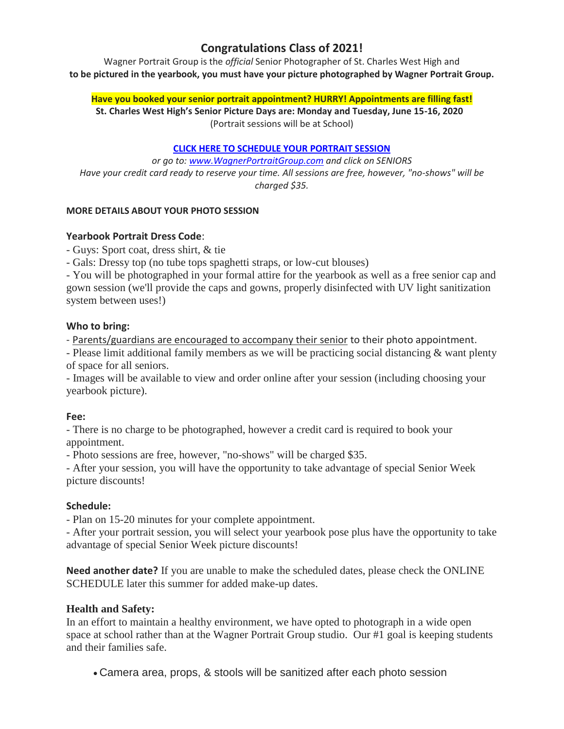# **Congratulations Class of 2021!**

Wagner Portrait Group is the *official* Senior Photographer of St. Charles West High and **to be pictured in the yearbook, you must have your picture photographed by Wagner Portrait Group.**

#### **Have you booked your senior portrait appointment? HURRY! Appointments are filling fast!**

**St. Charles West High's Senior Picture Days are: Monday and Tuesday, June 15-16, 2020**  (Portrait sessions will be at School)

#### **[CLICK HERE TO SCHEDULE YOUR PORTRAIT SESSION](http://www.bookeo.com/wagnerportraitgroup)**

*or go to: [www.WagnerPortraitGroup.com](http://d346dcrs.r.us-east-1.awstrack.me/L0/http:%2F%2Fwww.wagnerportraitgroup.com%2F/1/0100016affff272e-47b355e0-9915-4e56-8280-3534f7ccc3b5-000000/jY4zAJp6DJDXseuoFAJ817nO2Kw=111) and click on SENIORS Have your credit card ready to reserve your time. All sessions are free, however, "no-shows" will be charged \$35.*

#### **MORE DETAILS ABOUT YOUR PHOTO SESSION**

## **Yearbook Portrait Dress Code**:

- Guys: Sport coat, dress shirt, & tie

- Gals: Dressy top (no tube tops spaghetti straps, or low-cut blouses)

- You will be photographed in your formal attire for the yearbook as well as a free senior cap and gown session (we'll provide the caps and gowns, properly disinfected with UV light sanitization system between uses!)

## **Who to bring:**

- Parents/guardians are encouraged to accompany their senior to their photo appointment.

- Please limit additional family members as we will be practicing social distancing & want plenty of space for all seniors.

- Images will be available to view and order online after your session (including choosing your yearbook picture).

## **Fee:**

- There is no charge to be photographed, however a credit card is required to book your appointment.

- Photo sessions are free, however, "no-shows" will be charged \$35.

- After your session, you will have the opportunity to take advantage of special Senior Week picture discounts!

## **Schedule:**

- Plan on 15-20 minutes for your complete appointment.

- After your portrait session, you will select your yearbook pose plus have the opportunity to take advantage of special Senior Week picture discounts!

**Need another date?** If you are unable to make the scheduled dates, please check the ONLINE SCHEDULE later this summer for added make-up dates.

## **Health and Safety:**

In an effort to maintain a healthy environment, we have opted to photograph in a wide open space at school rather than at the Wagner Portrait Group studio. Our #1 goal is keeping students and their families safe.

• Camera area, props, & stools will be sanitized after each photo session